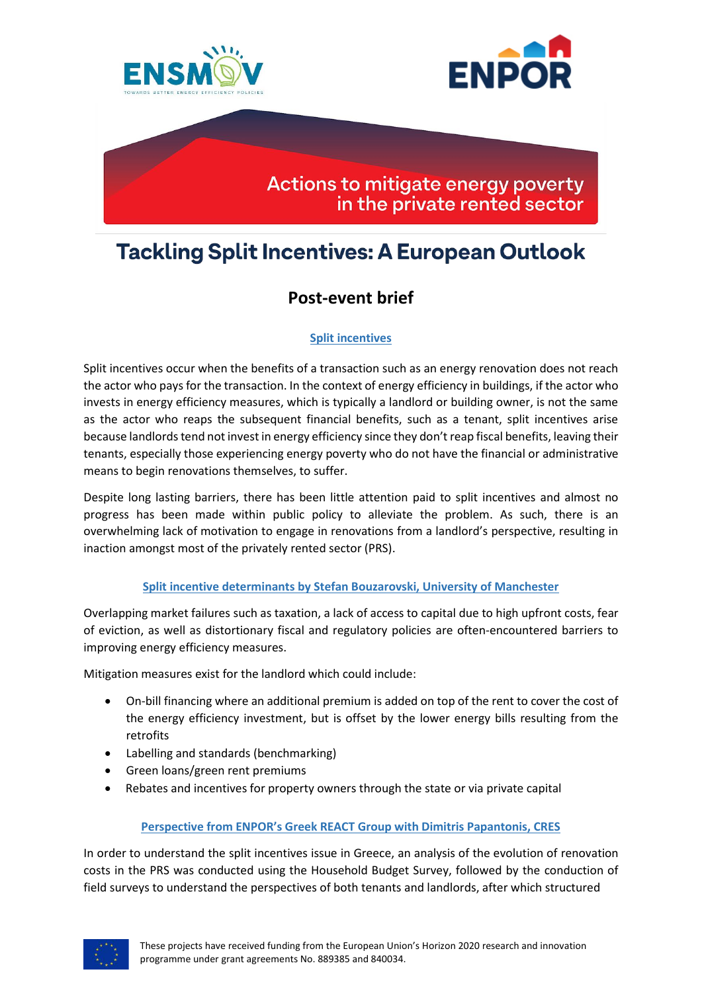



## Actions to mitigate energy poverty in the private rented sector

# **Tackling Split Incentives: A European Outlook**

## **Post-event brief**

### **Split incentives**

Split incentives occur when the benefits of a transaction such as an energy renovation does not reach the actor who pays for the transaction. In the context of energy efficiency in buildings, if the actor who invests in energy efficiency measures, which is typically a landlord or building owner, is not the same as the actor who reaps the subsequent financial benefits, such as a tenant, split incentives arise because landlords tend not invest in energy efficiency since they don't reap fiscal benefits, leaving their tenants, especially those experiencing energy poverty who do not have the financial or administrative means to begin renovations themselves, to suffer.

Despite long lasting barriers, there has been little attention paid to split incentives and almost no progress has been made within public policy to alleviate the problem. As such, there is an overwhelming lack of motivation to engage in renovations from a landlord's perspective, resulting in inaction amongst most of the privately rented sector (PRS).

#### **Split incentive determinants by Stefan Bouzarovski, University of Manchester**

Overlapping market failures such as taxation, a lack of access to capital due to high upfront costs, fear of eviction, as well as distortionary fiscal and regulatory policies are often-encountered barriers to improving energy efficiency measures.

Mitigation measures exist for the landlord which could include:

- On-bill financing where an additional premium is added on top of the rent to cover the cost of the energy efficiency investment, but is offset by the lower energy bills resulting from the retrofits
- Labelling and standards (benchmarking)
- Green loans/green rent premiums
- Rebates and incentives for property owners through the state or via private capital

#### **Perspective from ENPOR's Greek REACT Group with Dimitris Papantonis, CRES**

In order to understand the split incentives issue in Greece, an analysis of the evolution of renovation costs in the PRS was conducted using the Household Budget Survey, followed by the conduction of field surveys to understand the perspectives of both tenants and landlords, after which structured

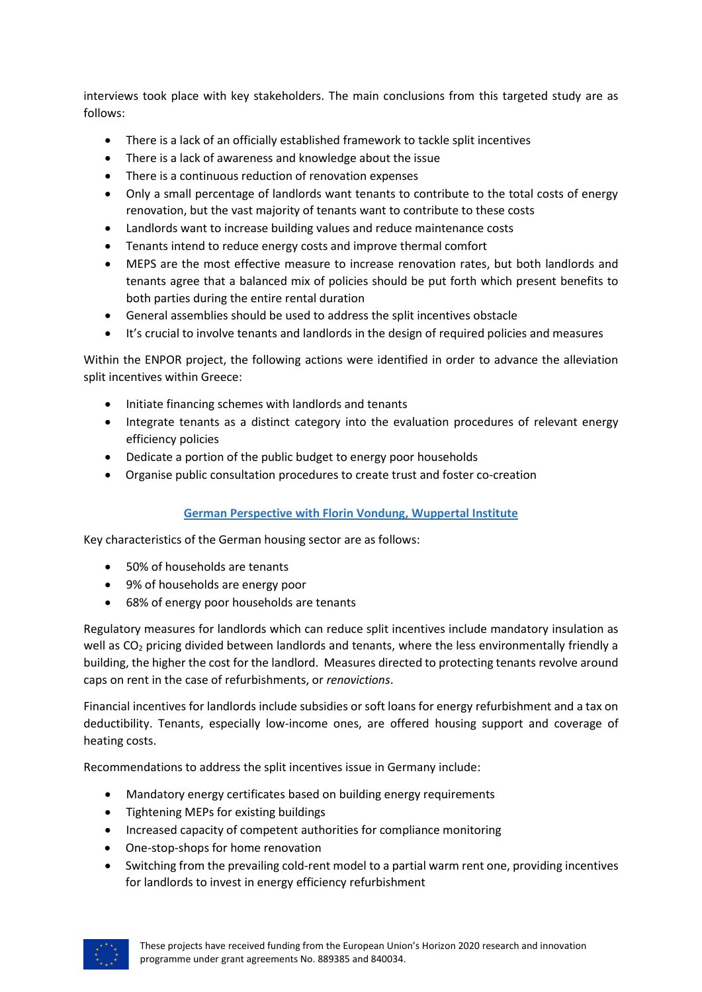interviews took place with key stakeholders. The main conclusions from this targeted study are as follows:

- There is a lack of an officially established framework to tackle split incentives
- There is a lack of awareness and knowledge about the issue
- There is a continuous reduction of renovation expenses
- Only a small percentage of landlords want tenants to contribute to the total costs of energy renovation, but the vast majority of tenants want to contribute to these costs
- Landlords want to increase building values and reduce maintenance costs
- Tenants intend to reduce energy costs and improve thermal comfort
- MEPS are the most effective measure to increase renovation rates, but both landlords and tenants agree that a balanced mix of policies should be put forth which present benefits to both parties during the entire rental duration
- General assemblies should be used to address the split incentives obstacle
- It's crucial to involve tenants and landlords in the design of required policies and measures

Within the ENPOR project, the following actions were identified in order to advance the alleviation split incentives within Greece:

- Initiate financing schemes with landlords and tenants
- Integrate tenants as a distinct category into the evaluation procedures of relevant energy efficiency policies
- Dedicate a portion of the public budget to energy poor households
- Organise public consultation procedures to create trust and foster co-creation

#### **German Perspective with Florin Vondung, Wuppertal Institute**

Key characteristics of the German housing sector are as follows:

- 50% of households are tenants
- 9% of households are energy poor
- 68% of energy poor households are tenants

Regulatory measures for landlords which can reduce split incentives include mandatory insulation as well as CO<sub>2</sub> pricing divided between landlords and tenants, where the less environmentally friendly a building, the higher the cost for the landlord. Measures directed to protecting tenants revolve around caps on rent in the case of refurbishments, or *renovictions*.

Financial incentives for landlords include subsidies or soft loans for energy refurbishment and a tax on deductibility. Tenants, especially low-income ones, are offered housing support and coverage of heating costs.

Recommendations to address the split incentives issue in Germany include:

- Mandatory energy certificates based on building energy requirements
- Tightening MEPs for existing buildings
- Increased capacity of competent authorities for compliance monitoring
- One-stop-shops for home renovation
- Switching from the prevailing cold-rent model to a partial warm rent one, providing incentives for landlords to invest in energy efficiency refurbishment